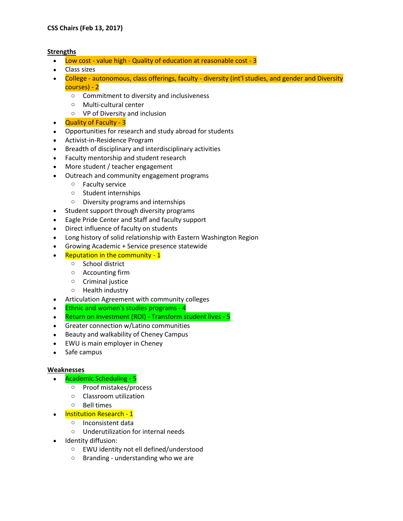## **Strengths**

- Low cost value high Quality of education at reasonable cost 3
- Class sizes
- College autonomous, class offerings, faculty diversity (int'l studies, and gender and Diversity courses) - 2
	- o Commitment to diversity and inclusiveness
	- o Multi-cultural center
	- o VP of Diversity and inclusion
- Quality of Faculty 3
- Opportunities for research and study abroad for students
- Activist-in-Residence Program
- Breadth of disciplinary and interdisciplinary activities
- Faculty mentorship and student research
- More student / teacher engagement
- Outreach and community engagement programs
	- o Faculty service
	- o Student internships
	- o Diversity programs and internships
- Student support through diversity programs
- Eagle Pride Center and Staff and faculty support
- Direct influence of faculty on students
- Long history of solid relationship with Eastern Washington Region
- Growing Academic + Service presence statewide
- Reputation in the community 1
	- o School district
	- o Accounting firm
	- o Criminal justice
	- o Health industry
- Articulation Agreement with community colleges
- Ethnic and women's studies programs 4
- Return on Investment (ROI) Transform student lives 5
- Greater connection w/Latino communities
- Beauty and walkability of Cheney Campus
- EWU is main employer in Cheney
- Safe campus

## **Weaknesses**

- Academic Scheduling 5
	- o Proof mistakes/process
	- o Classroom utilization
	- o Bell times
- Institution Research 1
	- o Inconsistent data
	- o Underutilization for internal needs
- Identity diffusion:
	- o EWU identity not ell defined/understood
	- o Branding understanding who we are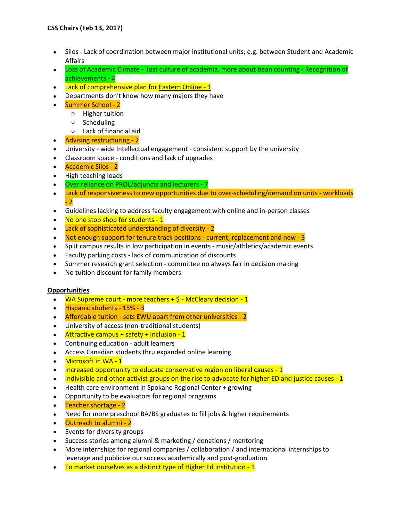- Silos Lack of coordination between major institutional units; e.g. between Student and Academic Affairs
- Loss of Academic Climate lost culture of academia, more about bean counting Recognition of achievements - 4
- Lack of comprehensive plan for Eastern Online 1
- Departments don't know how many majors they have
- Summer School 2
	- o Higher tuition
	- o Scheduling
	- o Lack of financial aid
- Advising restructuring 2
- University wide Intellectual engagement consistent support by the university
- Classroom space conditions and lack of upgrades
- Academic Silos 2
- High teaching loads
- Over reliance on PROL/adjuncts and lecturers 7
- Lack of responsiveness to new opportunities due to over-scheduling/demand on units workloads - 2
- Guidelines lacking to address faculty engagement with online and in-person classes
- No one stop shop for students 1
- Lack of sophisticated understanding of diversity 2
- Not enough support for tenure track positions current, replacement and new 3
- Split campus results in low participation in events music/athletics/academic events
- Faculty parking costs lack of communication of discounts
- Summer research grant selection committee no always fair in decision making
- No tuition discount for family members

## **Opportunities**

- $\bullet$  WA Supreme court more teachers  $+$  \$ McCleary decision 1
- Hispanic students 15% 3
- Affordable tuition sets EWU apart from other universities 2
- University of access (non-traditional students)
- $\bullet$  Attractive campus + safety + inclusion 1
- Continuing education adult learners
- Access Canadian students thru expanded online learning
- Microsoft in WA 1
- Increased opportunity to educate conservative region on liberal causes 1
- Indivisible and other activist groups on the rise to advocate for higher ED and justice causes 1
- Health care environment in Spokane Regional Center + growing
- Opportunity to be evaluators for regional programs
- Teacher shortage 2
- Need for more preschool BA/BS graduates to fill jobs & higher requirements
- Outreach to alumni 2
- Events for diversity groups
- Success stories among alumni & marketing / donations / mentoring
- More internships for regional companies / collaboration / and international internships to leverage and publicize our success academically and post-graduation
- To market ourselves as a distinct type of Higher Ed institution 1